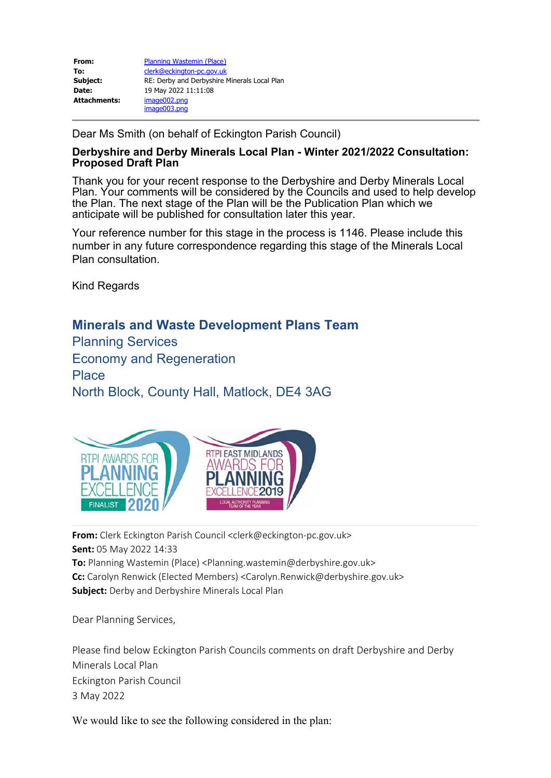| From:               | Planning Wastemin (Place)                    |
|---------------------|----------------------------------------------|
| To:                 | clerk@eckington-pc.gov.uk                    |
| Subject:            | RE: Derby and Derbyshire Minerals Local Plan |
| Date:               | 19 May 2022 11:11:08                         |
| <b>Attachments:</b> | image002.png                                 |
|                     | image003.png                                 |

Dear Ms Smith (on behalf of Eckington Parish Council)

## **Derbyshire and Derby Minerals Local Plan - Winter 2021/2022 Consultation: Proposed Draft Plan**

Thank you for your recent response to the Derbyshire and Derby Minerals Local Plan. Your comments will be considered by the Councils and used to help develop the Plan. The next stage of the Plan will be the Publication Plan which we anticipate will be published for consultation later this year.

Your reference number for this stage in the process is 1146. Please include this number in any future correspondence regarding this stage of the Minerals Local Plan consultation.

Kind Regards

## **Minerals and Waste Development Plans Team**

Planning Services Economy and Regeneration **Place** North Block, County Hall, Matlock, DE4 3AG



**From:** Clerk Eckington Parish Council <clerk@eckington-pc.gov.uk> **Sent:** 05 May 2022 14:33 **To:** Planning Wastemin (Place) <Planning.wastemin@derbyshire.gov.uk> **Cc:** Carolyn Renwick (Elected Members) <Carolyn.Renwick@derbyshire.gov.uk> **Subject:** Derby and Derbyshire Minerals Local Plan

Dear Planning Services,

Please find below Eckington Parish Councils comments on draft Derbyshire and Derby Minerals Local Plan Eckington Parish Council 3 May 2022

We would like to see the following considered in the plan: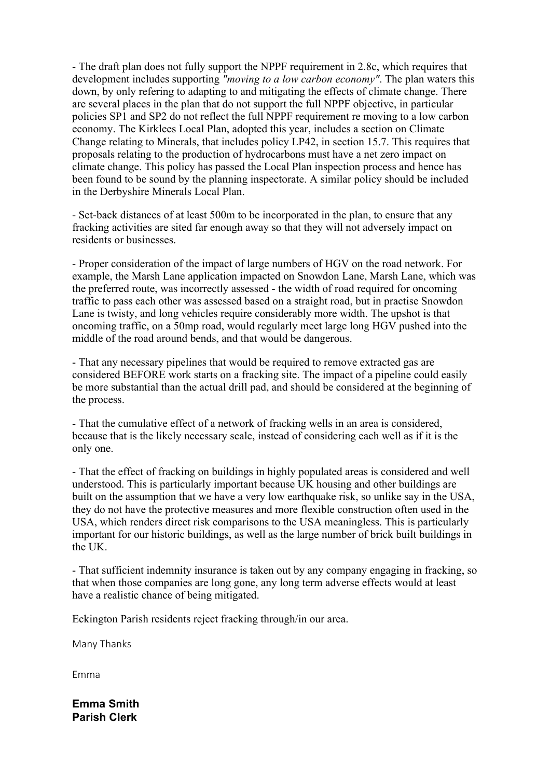- The draft plan does not fully support the NPPF requirement in 2.8c, which requires that development includes supporting *"moving to a low carbon economy"*. The plan waters this down, by only refering to adapting to and mitigating the effects of climate change. There are several places in the plan that do not support the full NPPF objective, in particular policies SP1 and SP2 do not reflect the full NPPF requirement re moving to a low carbon economy. The Kirklees Local Plan, adopted this year, includes a section on Climate Change relating to Minerals, that includes policy LP42, in section 15.7. This requires that proposals relating to the production of hydrocarbons must have a net zero impact on climate change. This policy has passed the Local Plan inspection process and hence has been found to be sound by the planning inspectorate. A similar policy should be included in the Derbyshire Minerals Local Plan.

- Set-back distances of at least 500m to be incorporated in the plan, to ensure that any fracking activities are sited far enough away so that they will not adversely impact on residents or businesses.

- Proper consideration of the impact of large numbers of HGV on the road network. For example, the Marsh Lane application impacted on Snowdon Lane, Marsh Lane, which was the preferred route, was incorrectly assessed - the width of road required for oncoming traffic to pass each other was assessed based on a straight road, but in practise Snowdon Lane is twisty, and long vehicles require considerably more width. The upshot is that oncoming traffic, on a 50mp road, would regularly meet large long HGV pushed into the middle of the road around bends, and that would be dangerous.

- That any necessary pipelines that would be required to remove extracted gas are considered BEFORE work starts on a fracking site. The impact of a pipeline could easily be more substantial than the actual drill pad, and should be considered at the beginning of the process.

- That the cumulative effect of a network of fracking wells in an area is considered, because that is the likely necessary scale, instead of considering each well as if it is the only one.

- That the effect of fracking on buildings in highly populated areas is considered and well understood. This is particularly important because UK housing and other buildings are built on the assumption that we have a very low earthquake risk, so unlike say in the USA, they do not have the protective measures and more flexible construction often used in the USA, which renders direct risk comparisons to the USA meaningless. This is particularly important for our historic buildings, as well as the large number of brick built buildings in the UK.

- That sufficient indemnity insurance is taken out by any company engaging in fracking, so that when those companies are long gone, any long term adverse effects would at least have a realistic chance of being mitigated.

Eckington Parish residents reject fracking through/in our area.

Many Thanks

Emma

**Emma Smith Parish Clerk**